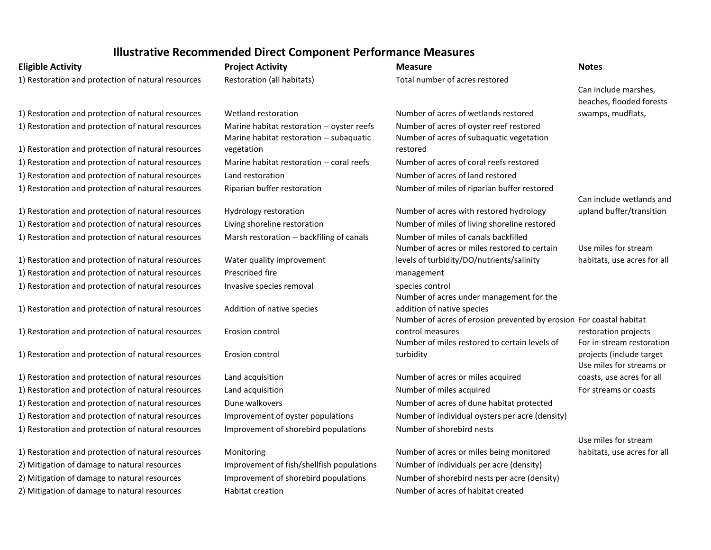|                                                    | mustrative necommented Direct Component renormance ividasures |                                                                        |                             |
|----------------------------------------------------|---------------------------------------------------------------|------------------------------------------------------------------------|-----------------------------|
| <b>Eligible Activity</b>                           | <b>Project Activity</b>                                       | <b>Measure</b>                                                         | <b>Notes</b>                |
| 1) Restoration and protection of natural resources | Restoration (all habitats)                                    | Total number of acres restored                                         |                             |
|                                                    |                                                               |                                                                        | Can include marshes,        |
|                                                    |                                                               |                                                                        | beaches, flooded forests    |
| 1) Restoration and protection of natural resources | Wetland restoration                                           | Number of acres of wetlands restored                                   | swamps, mudflats,           |
| 1) Restoration and protection of natural resources | Marine habitat restoration -- oyster reefs                    | Number of acres of oyster reef restored                                |                             |
|                                                    | Marine habitat restoration -- subaquatic                      | Number of acres of subaquatic vegetation                               |                             |
| 1) Restoration and protection of natural resources | vegetation                                                    | restored                                                               |                             |
| 1) Restoration and protection of natural resources | Marine habitat restoration -- coral reefs                     | Number of acres of coral reefs restored                                |                             |
| 1) Restoration and protection of natural resources | Land restoration                                              | Number of acres of land restored                                       |                             |
| 1) Restoration and protection of natural resources | Riparian buffer restoration                                   | Number of miles of riparian buffer restored                            |                             |
|                                                    |                                                               |                                                                        | Can include wetlands and    |
| 1) Restoration and protection of natural resources | Hydrology restoration                                         | Number of acres with restored hydrology                                | upland buffer/transition    |
| 1) Restoration and protection of natural resources | Living shoreline restoration                                  | Number of miles of living shoreline restored                           |                             |
| 1) Restoration and protection of natural resources | Marsh restoration -- backfiling of canals                     | Number of miles of canals backfilled                                   |                             |
|                                                    |                                                               | Number of acres or miles restored to certain                           | Use miles for stream        |
| 1) Restoration and protection of natural resources | Water quality improvement                                     | levels of turbidity/DO/nutrients/salinity                              | habitats, use acres for all |
| 1) Restoration and protection of natural resources | Prescribed fire                                               | management                                                             |                             |
| 1) Restoration and protection of natural resources | Invasive species removal                                      | species control                                                        |                             |
|                                                    | Addition of native species                                    | Number of acres under management for the<br>addition of native species |                             |
| 1) Restoration and protection of natural resources |                                                               | Number of acres of erosion prevented by erosion For coastal habitat    |                             |
| 1) Restoration and protection of natural resources | Erosion control                                               | control measures                                                       | restoration projects        |
|                                                    |                                                               | Number of miles restored to certain levels of                          | For in-stream restoration   |
| 1) Restoration and protection of natural resources | Erosion control                                               | turbidity                                                              | projects (include target    |
|                                                    |                                                               |                                                                        | Use miles for streams or    |
| 1) Restoration and protection of natural resources | Land acquisition                                              | Number of acres or miles acquired                                      | coasts, use acres for all   |
| 1) Restoration and protection of natural resources | Land acquisition                                              | Number of miles acquired                                               | For streams or coasts       |
| 1) Restoration and protection of natural resources | Dune walkovers                                                | Number of acres of dune habitat protected                              |                             |
| 1) Restoration and protection of natural resources | Improvement of oyster populations                             | Number of individual oysters per acre (density)                        |                             |
| 1) Restoration and protection of natural resources | Improvement of shorebird populations                          | Number of shorebird nests                                              |                             |
|                                                    |                                                               |                                                                        | Use miles for stream        |
| 1) Restoration and protection of natural resources | Monitoring                                                    | Number of acres or miles being monitored                               | habitats, use acres for all |
| 2) Mitigation of damage to natural resources       | Improvement of fish/shellfish populations                     | Number of individuals per acre (density)                               |                             |
| 2) Mitigation of damage to natural resources       | Improvement of shorebird populations                          | Number of shorebird nests per acre (density)                           |                             |
| 2) Mitigation of damage to natural resources       | Habitat creation                                              | Number of acres of habitat created                                     |                             |
|                                                    |                                                               |                                                                        |                             |

## **Illustrative Recommended Direct Component Performance Measures**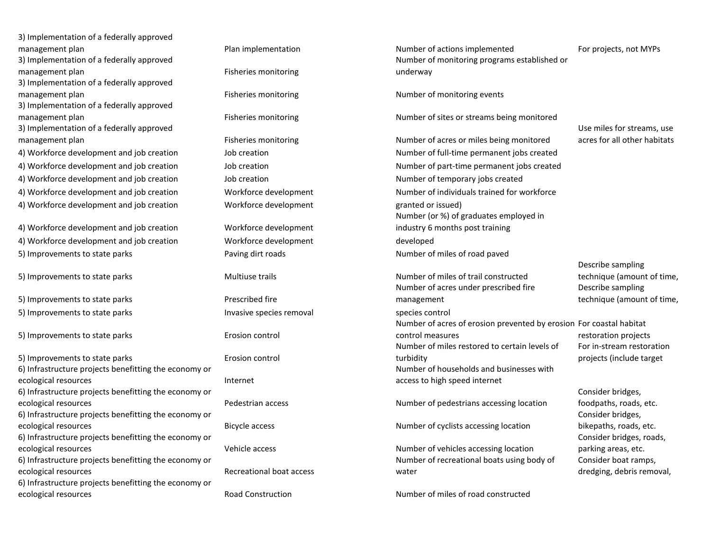| 3) Implementation of a federally approved                                     |                                 |                                                                     |                                             |
|-------------------------------------------------------------------------------|---------------------------------|---------------------------------------------------------------------|---------------------------------------------|
| management plan                                                               | Plan implementation             | Number of actions implemented                                       | For projects, not MYPs                      |
| 3) Implementation of a federally approved                                     |                                 | Number of monitoring programs established or                        |                                             |
| management plan                                                               | Fisheries monitoring            | underway                                                            |                                             |
| 3) Implementation of a federally approved                                     |                                 |                                                                     |                                             |
| management plan                                                               | Fisheries monitoring            | Number of monitoring events                                         |                                             |
| 3) Implementation of a federally approved                                     |                                 |                                                                     |                                             |
| management plan                                                               | Fisheries monitoring            | Number of sites or streams being monitored                          |                                             |
| 3) Implementation of a federally approved                                     |                                 |                                                                     | Use miles for streams, use                  |
| management plan                                                               | Fisheries monitoring            | Number of acres or miles being monitored                            | acres for all other habitats                |
| 4) Workforce development and job creation                                     | Job creation                    | Number of full-time permanent jobs created                          |                                             |
| 4) Workforce development and job creation                                     | Job creation                    | Number of part-time permanent jobs created                          |                                             |
| 4) Workforce development and job creation                                     | Job creation                    | Number of temporary jobs created                                    |                                             |
| 4) Workforce development and job creation                                     | Workforce development           | Number of individuals trained for workforce                         |                                             |
| 4) Workforce development and job creation                                     | Workforce development           | granted or issued)                                                  |                                             |
|                                                                               |                                 | Number (or %) of graduates employed in                              |                                             |
| 4) Workforce development and job creation                                     | Workforce development           | industry 6 months post training                                     |                                             |
| 4) Workforce development and job creation                                     | Workforce development           | developed                                                           |                                             |
| 5) Improvements to state parks                                                | Paving dirt roads               | Number of miles of road paved                                       |                                             |
|                                                                               |                                 |                                                                     | Describe sampling                           |
| 5) Improvements to state parks                                                | Multiuse trails                 | Number of miles of trail constructed                                | technique (amount of time,                  |
|                                                                               |                                 | Number of acres under prescribed fire                               | Describe sampling                           |
| 5) Improvements to state parks                                                | Prescribed fire                 | management                                                          | technique (amount of time,                  |
| 5) Improvements to state parks                                                | Invasive species removal        | species control                                                     |                                             |
|                                                                               |                                 | Number of acres of erosion prevented by erosion For coastal habitat |                                             |
| 5) Improvements to state parks                                                | Erosion control                 | control measures                                                    | restoration projects                        |
|                                                                               |                                 | Number of miles restored to certain levels of                       | For in-stream restoration                   |
| 5) Improvements to state parks                                                | Erosion control                 | turbidity<br>Number of households and businesses with               | projects (include target                    |
| 6) Infrastructure projects benefitting the economy or                         |                                 |                                                                     |                                             |
| ecological resources                                                          | Internet                        | access to high speed internet                                       |                                             |
| 6) Infrastructure projects benefitting the economy or                         | Pedestrian access               |                                                                     | Consider bridges,                           |
| ecological resources<br>6) Infrastructure projects benefitting the economy or |                                 | Number of pedestrians accessing location                            | foodpaths, roads, etc.<br>Consider bridges, |
| ecological resources                                                          | Bicycle access                  | Number of cyclists accessing location                               | bikepaths, roads, etc.                      |
| 6) Infrastructure projects benefitting the economy or                         |                                 |                                                                     | Consider bridges, roads,                    |
| ecological resources                                                          | Vehicle access                  | Number of vehicles accessing location                               | parking areas, etc.                         |
| 6) Infrastructure projects benefitting the economy or                         |                                 | Number of recreational boats using body of                          | Consider boat ramps,                        |
| ecological resources                                                          | <b>Recreational boat access</b> | water                                                               | dredging, debris removal,                   |
| 6) Infrastructure projects benefitting the economy or                         |                                 |                                                                     |                                             |
| ecological resources                                                          | Road Construction               | Number of miles of road constructed                                 |                                             |
|                                                                               |                                 |                                                                     |                                             |